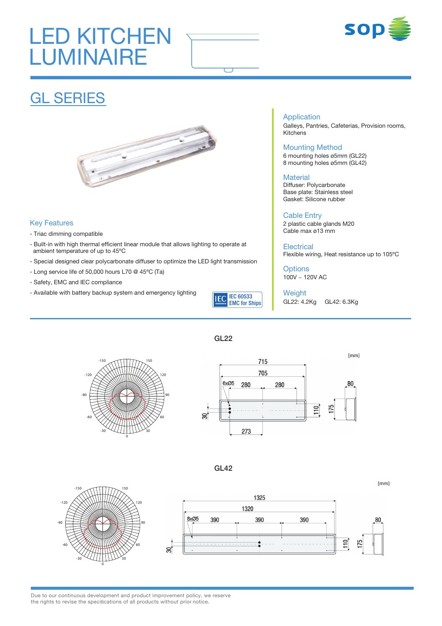# LED KITCHEN **LUMINAIRE**





## GL SERIES



### Key Features

- Triac dimming compatible
- Built-in with high thermal efficient linear module that allows lighting to operate at ambient temperature of up to 45ºC
- Special designed clear polycarbonate diffuser to optimize the LED light transmission
- Long service life of 50,000 hours L70 @ 45ºC (Ta)
- Safety, EMC and IEC compliance
- Available with battery backup system and emergency lighting



#### Application Galleys, Pantries, Cafeterias, Provision rooms, Kitchens

### Mounting Method

6 mounting holes ø5mm (GL22) 8 mounting holes ø5mm (GL42)

#### **Material**

Diffuser: Polycarbonate Base plate: Stainless steel Gasket: Silicone rubber

Cable Entry 2 plastic cable glands M20 Cable max ø13 mm

**Electrical** Flexible wiring, Heat resistance up to 105ºC

 $[mm]$ 

**Options** 100V ~ 120V AC

Weight GL22: 4.2Kg GL42: 6.3Kg

GL22





GL42

**30 60 90 120 -150 150 -120 -90 -60 -30**



Due to our continuous development and product improvement policy, we reserve the rights to revise the specifications of all products without prior notice.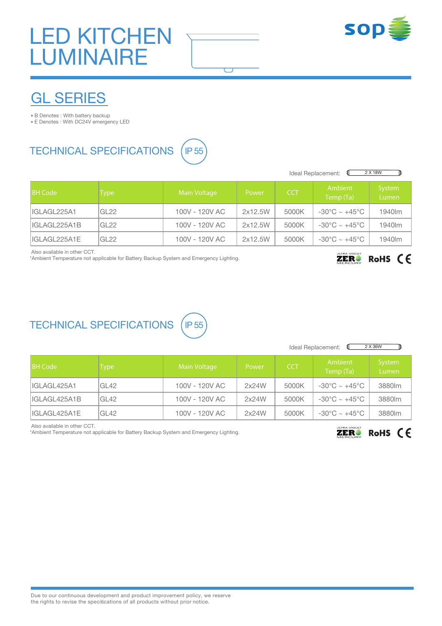# LED KITCHEN **LUMINAIRE**



## GL SERIES

• B Denotes : With battery backup

• E Denotes : With DC24V emergency LED

### TECHNICAL SPECIFICATIONS (IP 55



|                 | 2 X 18W<br>Ideal Replacement: |                |         |            |                                   |                   |
|-----------------|-------------------------------|----------------|---------|------------|-----------------------------------|-------------------|
| <b>IBH Code</b> | Type:                         | Main Voltage   | Power   | <b>CCT</b> | Ambient<br>Temp (Ta)              | System<br>Lumen   |
| IIGLAGL225A1    | GL22                          | 100V - 120V AC | 2x12.5W | 5000K      | $-30^{\circ}$ C ~ $+45^{\circ}$ C | 1940 <sub>m</sub> |
| IIGLAGL225A1B   | GL22                          | 100V - 120V AC | 2x12.5W | 5000K      | $-30^{\circ}$ C ~ $+45^{\circ}$ C | 1940 <sub>m</sub> |
| IIGLAGL225A1E   | GL <sub>22</sub>              | 100V - 120V AC | 2x12.5W | 5000K      | $-30^{\circ}$ C ~ $+45^{\circ}$ C | 1940lm            |

 $\overline{(\phantom{a})}$ 

Also available in other CCT.

\*Ambient Temperature not applicable for Battery Backup System and Emergency Lighting.

#### RoHS CE **ZER!**

### TECHNICAL SPECIFICATIONS (

| 1 |  |
|---|--|
|   |  |

| 2 X 36W<br>Ideal Replacement: |             |                     |       |            |                                   |                 |
|-------------------------------|-------------|---------------------|-------|------------|-----------------------------------|-----------------|
| <b>BH</b> Code                | <b>Type</b> | <b>Main Voltage</b> | Power | <b>CCT</b> | Ambient<br>Temp (Ta)              | System<br>Lumen |
| IIGLAGL425A1                  | GL42        | 100V - 120V AC      | 2x24W | 5000K      | $-30^{\circ}$ C ~ $+45^{\circ}$ C | 3880lm          |
| IIGLAGL425A1B                 | GL42        | 100V - 120V AC      | 2x24W | 5000K      | $-30^{\circ}$ C ~ $+45^{\circ}$ C | 3880lm          |
| IIGLAGL425A1E                 | GL42        | 100V - 120V AC      | 2x24W | 5000K      | $-30^{\circ}$ C ~ $+45^{\circ}$ C | 3880lm          |

Also available in other CCT.

\*Ambient Temperature not applicable for Battery Backup System and Emergency Lighting.